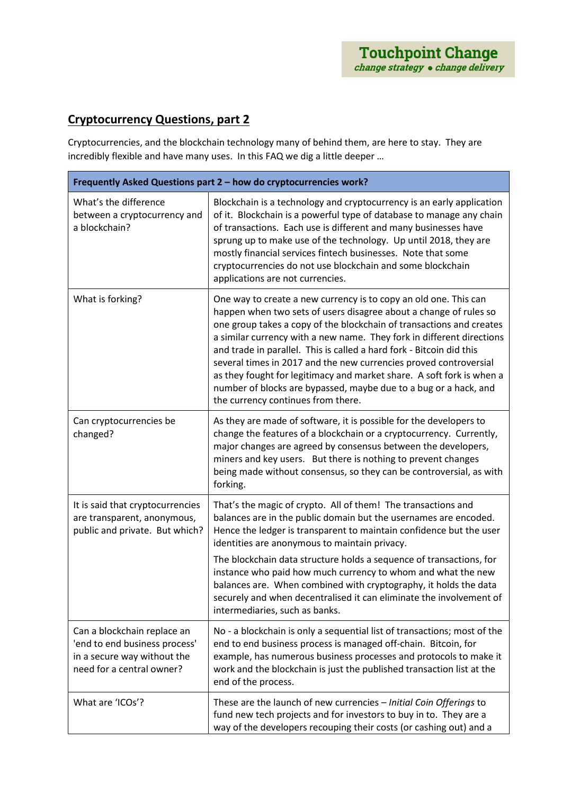## **Cryptocurrency Questions, part 2**

Cryptocurrencies, and the blockchain technology many of behind them, are here to stay. They are incredibly flexible and have many uses. In this FAQ we dig a little deeper …

| Frequently Asked Questions part 2 - how do cryptocurrencies work?                                                        |                                                                                                                                                                                                                                                                                                                                                                                                                                                                                                                                                                                                                        |  |
|--------------------------------------------------------------------------------------------------------------------------|------------------------------------------------------------------------------------------------------------------------------------------------------------------------------------------------------------------------------------------------------------------------------------------------------------------------------------------------------------------------------------------------------------------------------------------------------------------------------------------------------------------------------------------------------------------------------------------------------------------------|--|
| What's the difference<br>between a cryptocurrency and<br>a blockchain?                                                   | Blockchain is a technology and cryptocurrency is an early application<br>of it. Blockchain is a powerful type of database to manage any chain<br>of transactions. Each use is different and many businesses have<br>sprung up to make use of the technology. Up until 2018, they are<br>mostly financial services fintech businesses. Note that some<br>cryptocurrencies do not use blockchain and some blockchain<br>applications are not currencies.                                                                                                                                                                 |  |
| What is forking?                                                                                                         | One way to create a new currency is to copy an old one. This can<br>happen when two sets of users disagree about a change of rules so<br>one group takes a copy of the blockchain of transactions and creates<br>a similar currency with a new name. They fork in different directions<br>and trade in parallel. This is called a hard fork - Bitcoin did this<br>several times in 2017 and the new currencies proved controversial<br>as they fought for legitimacy and market share. A soft fork is when a<br>number of blocks are bypassed, maybe due to a bug or a hack, and<br>the currency continues from there. |  |
| Can cryptocurrencies be<br>changed?                                                                                      | As they are made of software, it is possible for the developers to<br>change the features of a blockchain or a cryptocurrency. Currently,<br>major changes are agreed by consensus between the developers,<br>miners and key users. But there is nothing to prevent changes<br>being made without consensus, so they can be controversial, as with<br>forking.                                                                                                                                                                                                                                                         |  |
| It is said that cryptocurrencies<br>are transparent, anonymous,<br>public and private. But which?                        | That's the magic of crypto. All of them! The transactions and<br>balances are in the public domain but the usernames are encoded.<br>Hence the ledger is transparent to maintain confidence but the user<br>identities are anonymous to maintain privacy.<br>The blockchain data structure holds a sequence of transactions, for<br>instance who paid how much currency to whom and what the new<br>balances are. When combined with cryptography, it holds the data<br>securely and when decentralised it can eliminate the involvement of<br>intermediaries, such as banks.                                          |  |
| Can a blockchain replace an<br>'end to end business process'<br>in a secure way without the<br>need for a central owner? | No - a blockchain is only a sequential list of transactions; most of the<br>end to end business process is managed off-chain. Bitcoin, for<br>example, has numerous business processes and protocols to make it<br>work and the blockchain is just the published transaction list at the<br>end of the process.                                                                                                                                                                                                                                                                                                        |  |
| What are 'ICOs'?                                                                                                         | These are the launch of new currencies - Initial Coin Offerings to<br>fund new tech projects and for investors to buy in to. They are a<br>way of the developers recouping their costs (or cashing out) and a                                                                                                                                                                                                                                                                                                                                                                                                          |  |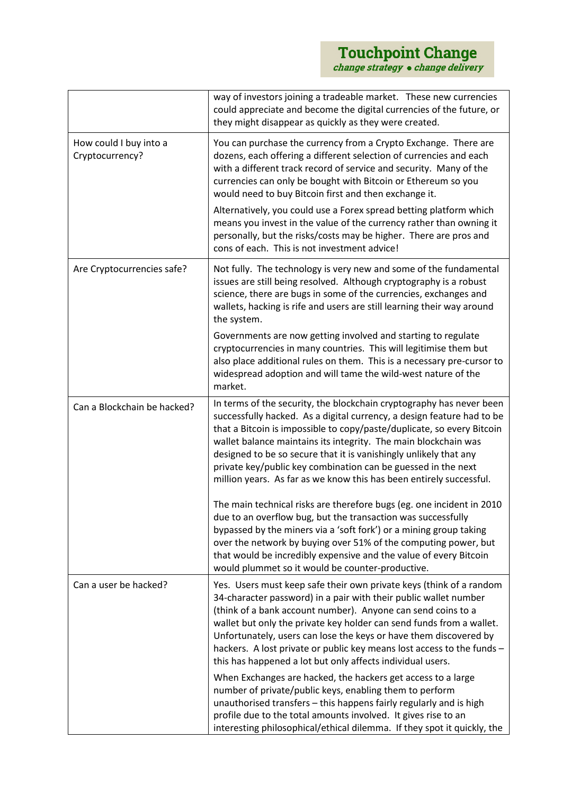|                                           | way of investors joining a tradeable market. These new currencies<br>could appreciate and become the digital currencies of the future, or<br>they might disappear as quickly as they were created.                                                                                                                                                                                                                                                                                                       |
|-------------------------------------------|----------------------------------------------------------------------------------------------------------------------------------------------------------------------------------------------------------------------------------------------------------------------------------------------------------------------------------------------------------------------------------------------------------------------------------------------------------------------------------------------------------|
| How could I buy into a<br>Cryptocurrency? | You can purchase the currency from a Crypto Exchange. There are<br>dozens, each offering a different selection of currencies and each<br>with a different track record of service and security. Many of the<br>currencies can only be bought with Bitcoin or Ethereum so you<br>would need to buy Bitcoin first and then exchange it.                                                                                                                                                                    |
|                                           | Alternatively, you could use a Forex spread betting platform which<br>means you invest in the value of the currency rather than owning it<br>personally, but the risks/costs may be higher. There are pros and<br>cons of each. This is not investment advice!                                                                                                                                                                                                                                           |
| Are Cryptocurrencies safe?                | Not fully. The technology is very new and some of the fundamental<br>issues are still being resolved. Although cryptography is a robust<br>science, there are bugs in some of the currencies, exchanges and<br>wallets, hacking is rife and users are still learning their way around<br>the system.                                                                                                                                                                                                     |
|                                           | Governments are now getting involved and starting to regulate<br>cryptocurrencies in many countries. This will legitimise them but<br>also place additional rules on them. This is a necessary pre-cursor to<br>widespread adoption and will tame the wild-west nature of the<br>market.                                                                                                                                                                                                                 |
| Can a Blockchain be hacked?               | In terms of the security, the blockchain cryptography has never been<br>successfully hacked. As a digital currency, a design feature had to be<br>that a Bitcoin is impossible to copy/paste/duplicate, so every Bitcoin<br>wallet balance maintains its integrity. The main blockchain was<br>designed to be so secure that it is vanishingly unlikely that any<br>private key/public key combination can be guessed in the next<br>million years. As far as we know this has been entirely successful. |
|                                           | The main technical risks are therefore bugs (eg. one incident in 2010<br>due to an overflow bug, but the transaction was successfully<br>bypassed by the miners via a 'soft fork') or a mining group taking<br>over the network by buying over 51% of the computing power, but<br>that would be incredibly expensive and the value of every Bitcoin<br>would plummet so it would be counter-productive.                                                                                                  |
| Can a user be hacked?                     | Yes. Users must keep safe their own private keys (think of a random<br>34-character password) in a pair with their public wallet number<br>(think of a bank account number). Anyone can send coins to a<br>wallet but only the private key holder can send funds from a wallet.<br>Unfortunately, users can lose the keys or have them discovered by<br>hackers. A lost private or public key means lost access to the funds -<br>this has happened a lot but only affects individual users.             |
|                                           | When Exchanges are hacked, the hackers get access to a large<br>number of private/public keys, enabling them to perform<br>unauthorised transfers - this happens fairly regularly and is high<br>profile due to the total amounts involved. It gives rise to an<br>interesting philosophical/ethical dilemma. If they spot it quickly, the                                                                                                                                                               |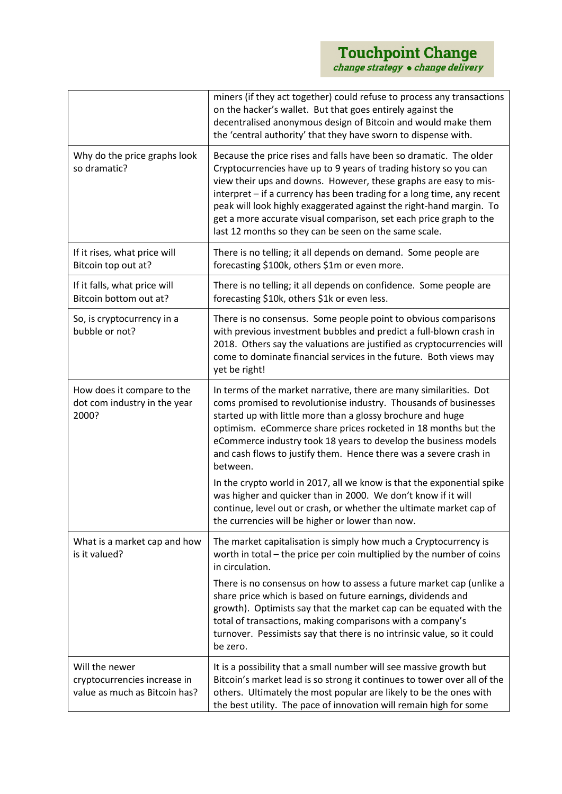|                                                                                 | miners (if they act together) could refuse to process any transactions<br>on the hacker's wallet. But that goes entirely against the<br>decentralised anonymous design of Bitcoin and would make them<br>the 'central authority' that they have sworn to dispense with.                                                                                                                                                                                                                     |
|---------------------------------------------------------------------------------|---------------------------------------------------------------------------------------------------------------------------------------------------------------------------------------------------------------------------------------------------------------------------------------------------------------------------------------------------------------------------------------------------------------------------------------------------------------------------------------------|
| Why do the price graphs look<br>so dramatic?                                    | Because the price rises and falls have been so dramatic. The older<br>Cryptocurrencies have up to 9 years of trading history so you can<br>view their ups and downs. However, these graphs are easy to mis-<br>interpret - if a currency has been trading for a long time, any recent<br>peak will look highly exaggerated against the right-hand margin. To<br>get a more accurate visual comparison, set each price graph to the<br>last 12 months so they can be seen on the same scale. |
| If it rises, what price will<br>Bitcoin top out at?                             | There is no telling; it all depends on demand. Some people are<br>forecasting \$100k, others \$1m or even more.                                                                                                                                                                                                                                                                                                                                                                             |
| If it falls, what price will<br>Bitcoin bottom out at?                          | There is no telling; it all depends on confidence. Some people are<br>forecasting \$10k, others \$1k or even less.                                                                                                                                                                                                                                                                                                                                                                          |
| So, is cryptocurrency in a<br>bubble or not?                                    | There is no consensus. Some people point to obvious comparisons<br>with previous investment bubbles and predict a full-blown crash in<br>2018. Others say the valuations are justified as cryptocurrencies will<br>come to dominate financial services in the future. Both views may<br>yet be right!                                                                                                                                                                                       |
| How does it compare to the<br>dot com industry in the year<br>2000?             | In terms of the market narrative, there are many similarities. Dot<br>coms promised to revolutionise industry. Thousands of businesses<br>started up with little more than a glossy brochure and huge<br>optimism. eCommerce share prices rocketed in 18 months but the<br>eCommerce industry took 18 years to develop the business models<br>and cash flows to justify them. Hence there was a severe crash in<br>between.                                                                 |
|                                                                                 | In the crypto world in 2017, all we know is that the exponential spike<br>was higher and quicker than in 2000. We don't know if it will<br>continue, level out or crash, or whether the ultimate market cap of<br>the currencies will be higher or lower than now.                                                                                                                                                                                                                          |
| What is a market cap and how<br>is it valued?                                   | The market capitalisation is simply how much a Cryptocurrency is<br>worth in total – the price per coin multiplied by the number of coins<br>in circulation.                                                                                                                                                                                                                                                                                                                                |
|                                                                                 | There is no consensus on how to assess a future market cap (unlike a<br>share price which is based on future earnings, dividends and<br>growth). Optimists say that the market cap can be equated with the<br>total of transactions, making comparisons with a company's<br>turnover. Pessimists say that there is no intrinsic value, so it could<br>be zero.                                                                                                                              |
| Will the newer<br>cryptocurrencies increase in<br>value as much as Bitcoin has? | It is a possibility that a small number will see massive growth but<br>Bitcoin's market lead is so strong it continues to tower over all of the<br>others. Ultimately the most popular are likely to be the ones with<br>the best utility. The pace of innovation will remain high for some                                                                                                                                                                                                 |